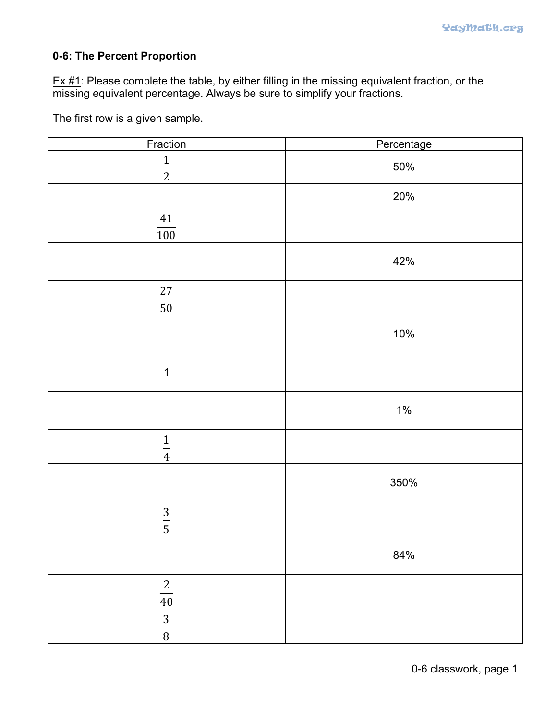## **0-6: The Percent Proportion**

Ex #1: Please complete the table, by either filling in the missing equivalent fraction, or the missing equivalent percentage. Always be sure to simplify your fractions.

The first row is a given sample.

| Fraction         | Percentage |
|------------------|------------|
| $\frac{1}{2}$    | 50%        |
|                  | 20%        |
| $\frac{41}{100}$ |            |
|                  | 42%        |
| $\frac{27}{50}$  |            |
|                  | 10%        |
| $\mathbf 1$      |            |
|                  | $1\%$      |
| $\frac{1}{4}$    |            |
|                  | 350%       |
| $\frac{3}{5}$    |            |
|                  | 84%        |
| $\frac{2}{40}$   |            |
| $\frac{3}{8}$    |            |